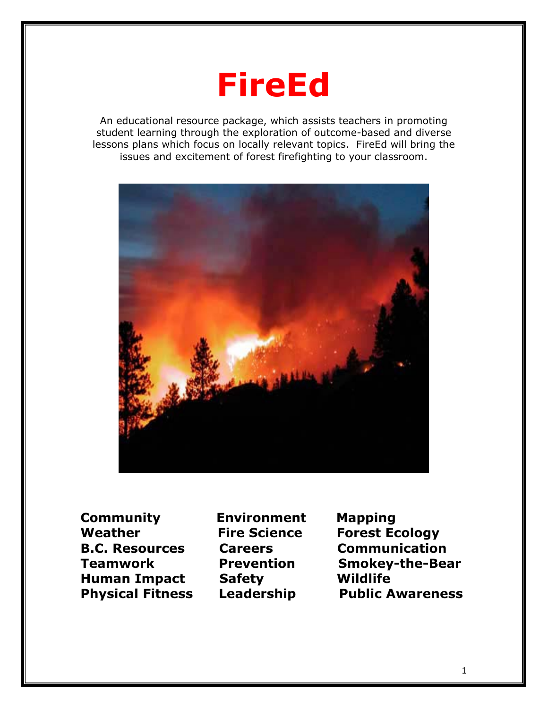

An educational resource package, which assists teachers in promoting student learning through the exploration of outcome-based and diverse lessons plans which focus on locally relevant topics. FireEd will bring the issues and excitement of forest firefighting to your classroom.



**Community Environment Mapping Weather Fire Science Forest Ecology Human Impact Safety Wildlife** 

**B.C. Resources Careers Communication Teamwork Prevention Smokey-the-Bear Physical Fitness Leadership Public Awareness**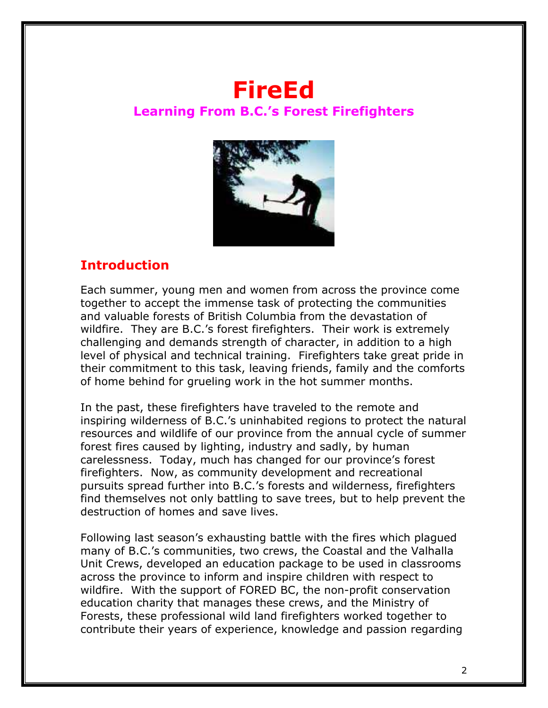# **FireEd Learning From B.C.'s Forest Firefighters**



## **Introduction**

Each summer, young men and women from across the province come together to accept the immense task of protecting the communities and valuable forests of British Columbia from the devastation of wildfire. They are B.C.'s forest firefighters. Their work is extremely challenging and demands strength of character, in addition to a high level of physical and technical training. Firefighters take great pride in their commitment to this task, leaving friends, family and the comforts of home behind for grueling work in the hot summer months.

In the past, these firefighters have traveled to the remote and inspiring wilderness of B.C.'s uninhabited regions to protect the natural resources and wildlife of our province from the annual cycle of summer forest fires caused by lighting, industry and sadly, by human carelessness. Today, much has changed for our province's forest firefighters. Now, as community development and recreational pursuits spread further into B.C.'s forests and wilderness, firefighters find themselves not only battling to save trees, but to help prevent the destruction of homes and save lives.

Following last season's exhausting battle with the fires which plagued many of B.C.'s communities, two crews, the Coastal and the Valhalla Unit Crews, developed an education package to be used in classrooms across the province to inform and inspire children with respect to wildfire. With the support of FORED BC, the non-profit conservation education charity that manages these crews, and the Ministry of Forests, these professional wild land firefighters worked together to contribute their years of experience, knowledge and passion regarding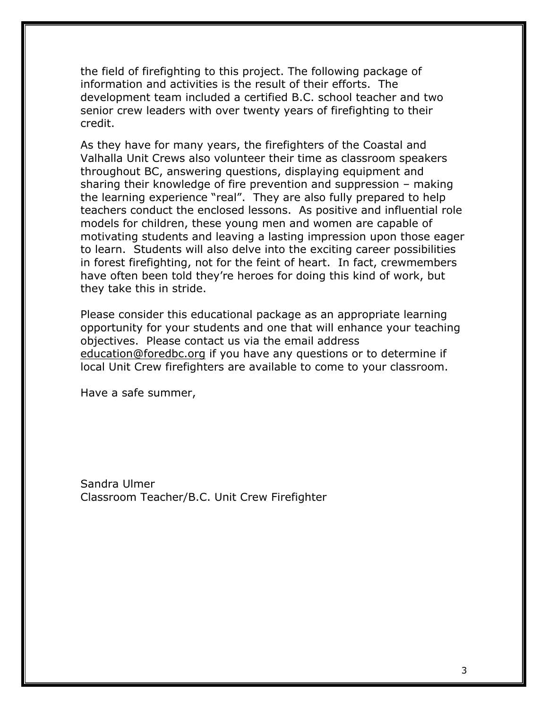the field of firefighting to this project. The following package of information and activities is the result of their efforts. The development team included a certified B.C. school teacher and two senior crew leaders with over twenty years of firefighting to their credit.

As they have for many years, the firefighters of the Coastal and Valhalla Unit Crews also volunteer their time as classroom speakers throughout BC, answering questions, displaying equipment and sharing their knowledge of fire prevention and suppression – making the learning experience "real". They are also fully prepared to help teachers conduct the enclosed lessons. As positive and influential role models for children, these young men and women are capable of motivating students and leaving a lasting impression upon those eager to learn. Students will also delve into the exciting career possibilities in forest firefighting, not for the feint of heart. In fact, crewmembers have often been told they're heroes for doing this kind of work, but they take this in stride.

Please consider this educational package as an appropriate learning opportunity for your students and one that will enhance your teaching objectives. Please contact us via the email address education@foredbc.org if you have any questions or to determine if local Unit Crew firefighters are available to come to your classroom.

Have a safe summer,

Sandra Ulmer Classroom Teacher/B.C. Unit Crew Firefighter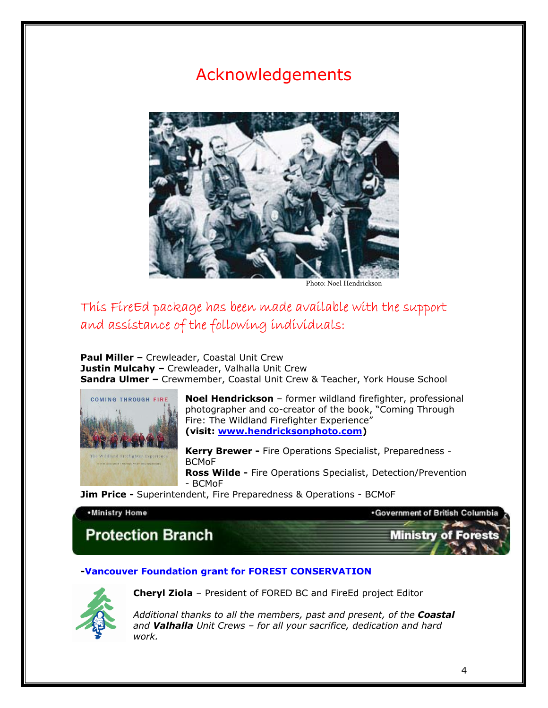# Acknowledgements



Photo: Noel Hendrickson

## This FireEd package has been made available with the support and assistance of the following individuals:

**Paul Miller –** Crewleader, Coastal Unit Crew **Justin Mulcahy –** Crewleader, Valhalla Unit Crew **Sandra Ulmer –** Crewmember, Coastal Unit Crew & Teacher, York House School



**Noel Hendrickson** – former wildland firefighter, professional photographer and co-creator of the book, "Coming Through Fire: The Wildland Firefighter Experience" **(visit: www.hendricksonphoto.com)**

**Kerry Brewer -** Fire Operations Specialist, Preparedness - BCMoF

**Ross Wilde -** Fire Operations Specialist, Detection/Prevention - BCMoF

**Jim Price -** Superintendent, Fire Preparedness & Operations - BCMoF

#### . Ministry Home

**. Government of British Columbia** 

**Ministry of Fores** 

## **Protection Branch**

#### **-Vancouver Foundation grant for FOREST CONSERVATION**



**Cheryl Ziola** – President of FORED BC and FireEd project Editor

*Additional thanks to all the members, past and present, of the Coastal and Valhalla Unit Crews – for all your sacrifice, dedication and hard work.*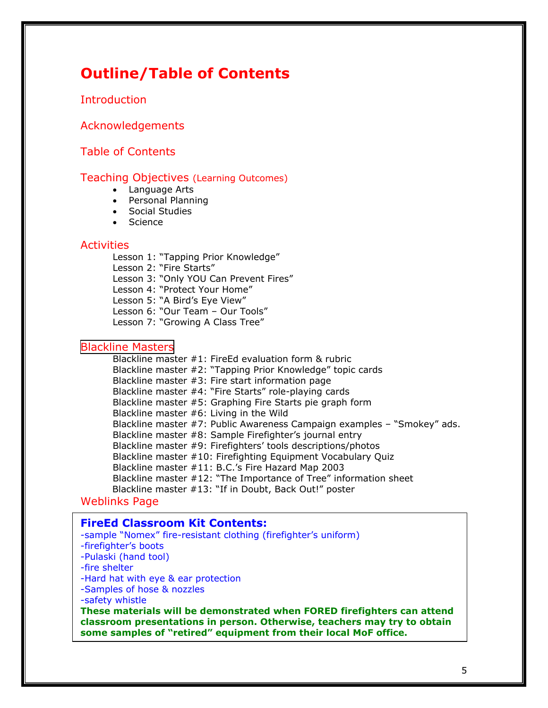## **Outline/Table of Contents**

**Introduction** 

Acknowledgements

Table of Contents

#### Teaching Objectives (Learning Outcomes)

- Language Arts
- Personal Planning
- Social Studies
- Science

#### **Activities**

Lesson 1: "Tapping Prior Knowledge"

Lesson 2: "Fire Starts"

Lesson 3: "Only YOU Can Prevent Fires"

Lesson 4: "Protect Your Home"

Lesson 5: "A Bird's Eye View"

Lesson 6: "Our Team – Our Tools"

Lesson 7: "Growing A Class Tree"

#### [Blackline Masters](http://www.landscapesmag.com/teachers/lessonplans/Fire%20education%20folder/Blackline%20Masterss%20for%20Primary%20program%20fire%20ed.pdf)

Blackline master #1: FireEd evaluation form & rubric Blackline master #2: "Tapping Prior Knowledge" topic cards Blackline master #3: Fire start information page Blackline master #4: "Fire Starts" role-playing cards Blackline master #5: Graphing Fire Starts pie graph form Blackline master #6: Living in the Wild Blackline master #7: Public Awareness Campaign examples – "Smokey" ads. Blackline master #8: Sample Firefighter's journal entry Blackline master #9: Firefighters' tools descriptions/photos Blackline master #10: Firefighting Equipment Vocabulary Quiz Blackline master #11: B.C.'s Fire Hazard Map 2003 Blackline master #12: "The Importance of Tree" information sheet Blackline master #13: "If in Doubt, Back Out!" poster

#### Weblinks Page

#### **FireEd Classroom Kit Contents:**

-sample "Nomex" fire-resistant clothing (firefighter's uniform)

-firefighter's boots

-Pulaski (hand tool)

-fire shelter

-Hard hat with eye & ear protection

-Samples of hose & nozzles

-safety whistle

**These materials will be demonstrated when FORED firefighters can attend classroom presentations in person. Otherwise, teachers may try to obtain some samples of "retired" equipment from their local MoF office.**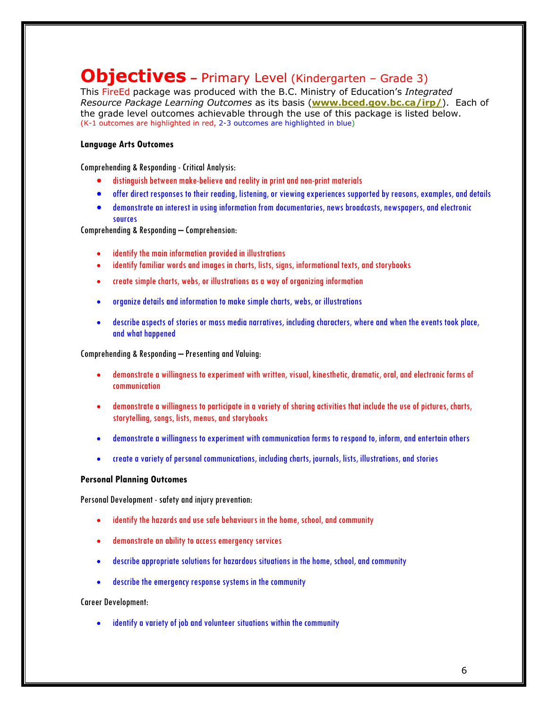## **Objectives –** Primary Level (Kindergarten – Grade 3)

This FireEd package was produced with the B.C. Ministry of Education's *Integrated Resource Package Learning Outcomes* as its basis (**www.bced.gov.bc.ca/irp/**). Each of the grade level outcomes achievable through the use of this package is listed below. (K-1 outcomes are highlighted in red, 2-3 outcomes are highlighted in blue)

#### **Language Arts Outcomes**

Comprehending & Responding - Critical Analysis:

- distinguish between make-believe and reality in print and non-print materials
- offer direct responses to their reading, listening, or viewing experiences supported by reasons, examples, and details
- demonstrate an interest in using information from documentaries, news broadcasts, newspapers, and electronic sources

Comprehending & Responding – Comprehension:

- identify the main information provided in illustrations
- identify familiar words and images in charts, lists, signs, informational texts, and storybooks
- create simple charts, webs, or illustrations as a way of organizing information
- organize details and information to make simple charts, webs, or illustrations
- describe aspects of stories or mass media narratives, including characters, where and when the events took place, and what happened

Comprehending & Responding – Presenting and Valuing:

- demonstrate a willingness to experiment with written, visual, kinesthetic, dramatic, oral, and electronic forms of communication
- demonstrate a willingness to participate in a variety of sharing activities that include the use of pictures, charts, storytelling, songs, lists, menus, and storybooks
- demonstrate a willingness to experiment with communication forms to respond to, inform, and entertain others
- create a variety of personal communications, including charts, journals, lists, illustrations, and stories

#### **Personal Planning Outcomes**

Personal Development - safety and injury prevention:

- identify the hazards and use safe behaviours in the home, school, and community
- demonstrate an ability to access emergency services
- describe appropriate solutions for hazardous situations in the home, school, and community
- describe the emergency response systems in the community

#### Career Development:

identify a variety of job and volunteer situations within the community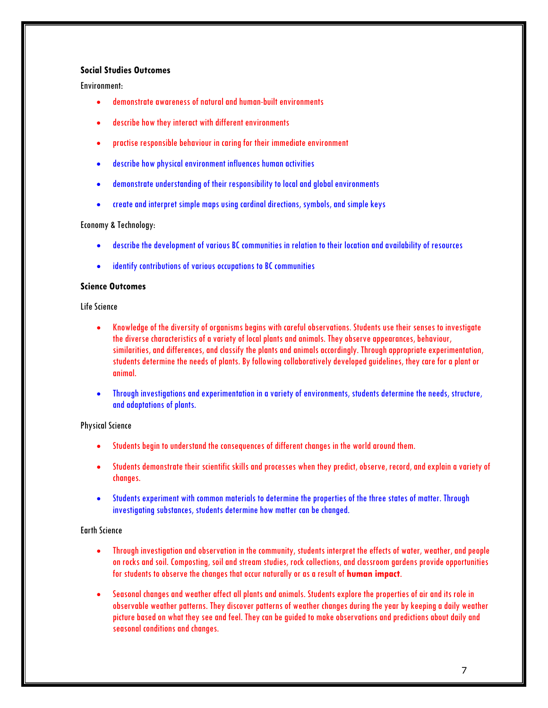#### **Social Studies Outcomes**

Environment:

- demonstrate awareness of natural and human-built environments
- describe how they interact with different environments
- practise responsible behaviour in caring for their immediate environment
- describe how physical environment influences human activities
- demonstrate understanding of their responsibility to local and global environments
- create and interpret simple maps using cardinal directions, symbols, and simple keys

Economy & Technology:

- describe the development of various BC communities in relation to their location and availability of resources
- identify contributions of various occupations to BC communities

#### **Science Outcomes**

Life Science

- Knowledge of the diversity of organisms begins with careful observations. Students use their senses to investigate the diverse characteristics of a variety of local plants and animals. They observe appearances, behaviour, similarities, and differences, and classify the plants and animals accordingly. Through appropriate experimentation, students determine the needs of plants. By following collaboratively developed guidelines, they care for a plant or animal.
- Through investigations and experimentation in a variety of environments, students determine the needs, structure, and adaptations of plants.

#### Physical Science

- Students begin to understand the consequences of different changes in the world around them.
- Students demonstrate their scientific skills and processes when they predict, observe, record, and explain a variety of changes.
- Students experiment with common materials to determine the properties of the three states of matter. Through investigating substances, students determine how matter can be changed.

#### Earth Science

- Through investigation and observation in the community, students interpret the effects of water, weather, and people on rocks and soil. Composting, soil and stream studies, rock collections, and classroom gardens provide opportunities for students to observe the changes that occur naturally or as a result of **human impact**.
- Seasonal changes and weather affect all plants and animals. Students explore the properties of air and its role in observable weather patterns. They discover patterns of weather changes during the year by keeping a daily weather picture based on what they see and feel. They can be guided to make observations and predictions about daily and seasonal conditions and changes.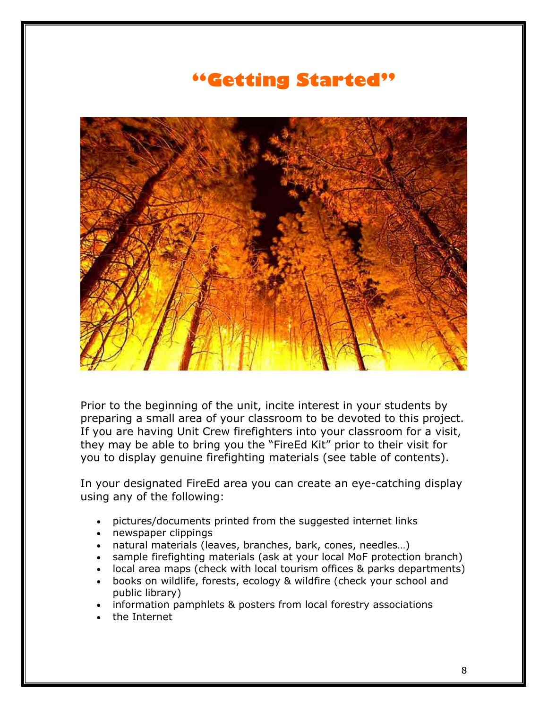# **"Getting Started"**



Prior to the beginning of the unit, incite interest in your students by preparing a small area of your classroom to be devoted to this project. If you are having Unit Crew firefighters into your classroom for a visit, they may be able to bring you the "FireEd Kit" prior to their visit for you to display genuine firefighting materials (see table of contents).

In your designated FireEd area you can create an eye-catching display using any of the following:

- pictures/documents printed from the suggested internet links
- newspaper clippings
- natural materials (leaves, branches, bark, cones, needles…)
- sample firefighting materials (ask at your local MoF protection branch)
- local area maps (check with local tourism offices & parks departments)
- books on wildlife, forests, ecology & wildfire (check your school and public library)
- information pamphlets & posters from local forestry associations
- the Internet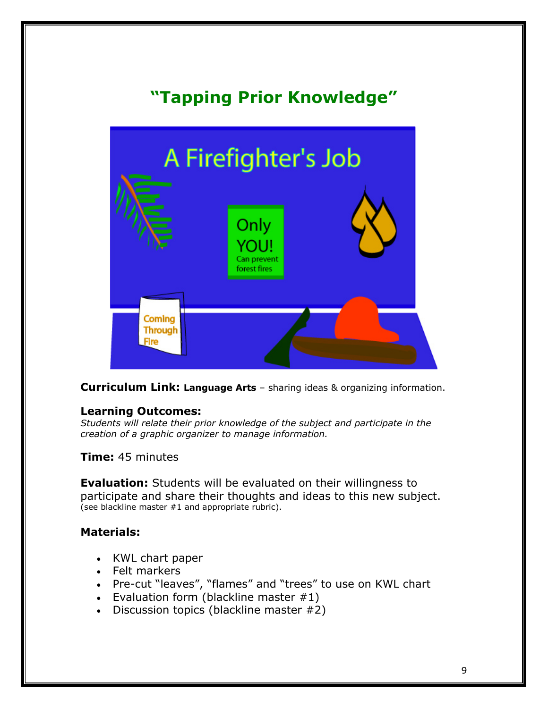# **"Tapping Prior Knowledge"**



**Curriculum Link: Language Arts** – sharing ideas & organizing information.

#### **Learning Outcomes:**

*Students will relate their prior knowledge of the subject and participate in the creation of a graphic organizer to manage information.*

**Time:** 45 minutes

**Evaluation:** Students will be evaluated on their willingness to participate and share their thoughts and ideas to this new subject. (see blackline master #1 and appropriate rubric).

## **Materials:**

- KWL chart paper
- Felt markers
- Pre-cut "leaves", "flames" and "trees" to use on KWL chart
- Evaluation form (blackline master  $#1$ )
- Discussion topics (blackline master #2)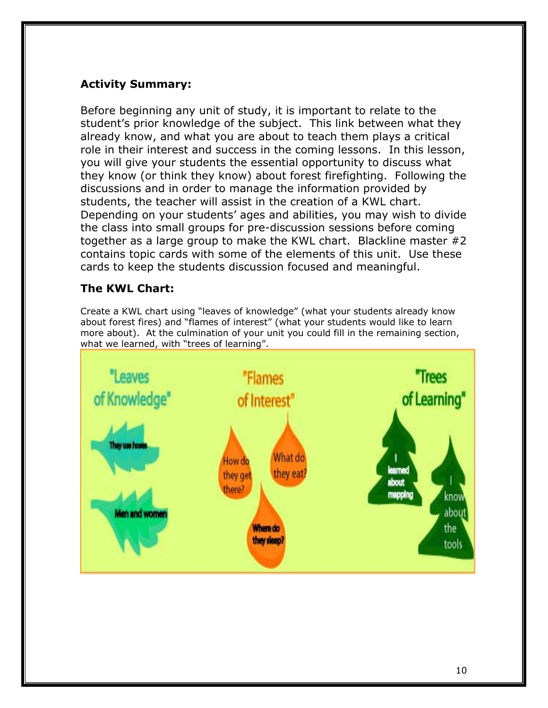## **Activity Summary:**

Before beginning any unit of study, it is important to relate to the student's prior knowledge of the subject. This link between what they already know, and what you are about to teach them plays a critical role in their interest and success in the coming lessons. In this lesson, you will give your students the essential opportunity to discuss what they know (or think they know) about forest firefighting. Following the discussions and in order to manage the information provided by students, the teacher will assist in the creation of a KWL chart. Depending on your students' ages and abilities, you may wish to divide the class into small groups for pre-discussion sessions before coming together as a large group to make the KWL chart. Blackline master #2 contains topic cards with some of the elements of this unit. Use these cards to keep the students discussion focused and meaningful.

## **The KWL Chart:**

Create a KWL chart using "leaves of knowledge" (what your students already know about forest fires) and "flames of interest" (what your students would like to learn more about). At the culmination of your unit you could fill in the remaining section, what we learned, with "trees of learning".

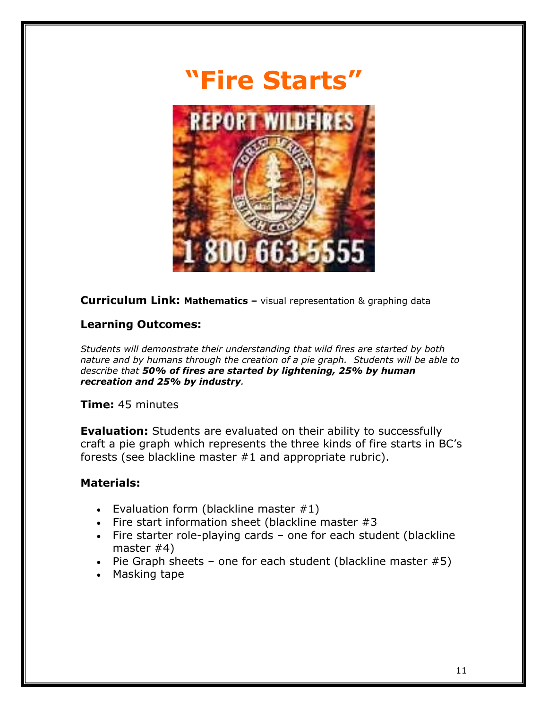

**Curriculum Link: Mathematics –** visual representation & graphing data

## **Learning Outcomes:**

*Students will demonstrate their understanding that wild fires are started by both nature and by humans through the creation of a pie graph. Students will be able to describe that 50% of fires are started by lightening, 25% by human recreation and 25% by industry.* 

## **Time:** 45 minutes

**Evaluation:** Students are evaluated on their ability to successfully craft a pie graph which represents the three kinds of fire starts in BC's forests (see blackline master #1 and appropriate rubric).

## **Materials:**

- Evaluation form (blackline master  $#1$ )
- Fire start information sheet (blackline master #3
- Fire starter role-playing cards one for each student (blackline master #4)
- Pie Graph sheets one for each student (blackline master  $#5$ )
- Masking tape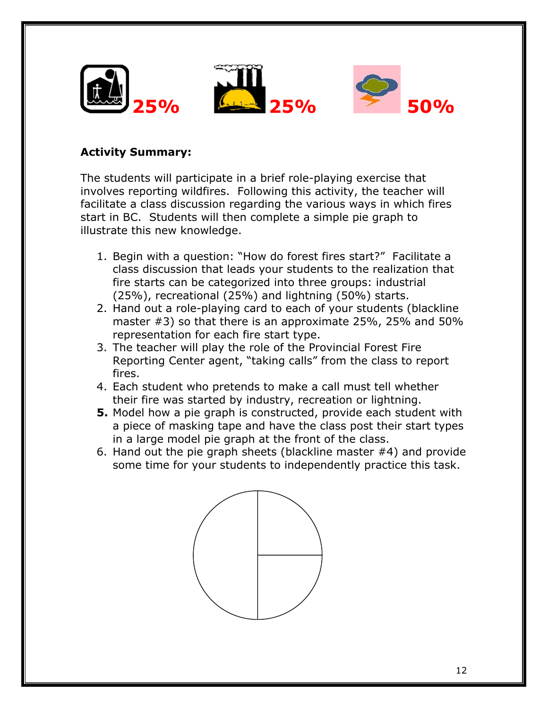

## **Activity Summary:**

The students will participate in a brief role-playing exercise that involves reporting wildfires. Following this activity, the teacher will facilitate a class discussion regarding the various ways in which fires start in BC. Students will then complete a simple pie graph to illustrate this new knowledge.

- 1. Begin with a question: "How do forest fires start?" Facilitate a class discussion that leads your students to the realization that fire starts can be categorized into three groups: industrial (25%), recreational (25%) and lightning (50%) starts.
- 2. Hand out a role-playing card to each of your students (blackline master #3) so that there is an approximate 25%, 25% and 50% representation for each fire start type.
- 3. The teacher will play the role of the Provincial Forest Fire Reporting Center agent, "taking calls" from the class to report fires.
- 4. Each student who pretends to make a call must tell whether their fire was started by industry, recreation or lightning.
- **5.** Model how a pie graph is constructed, provide each student with a piece of masking tape and have the class post their start types in a large model pie graph at the front of the class.
- 6. Hand out the pie graph sheets (blackline master #4) and provide some time for your students to independently practice this task.

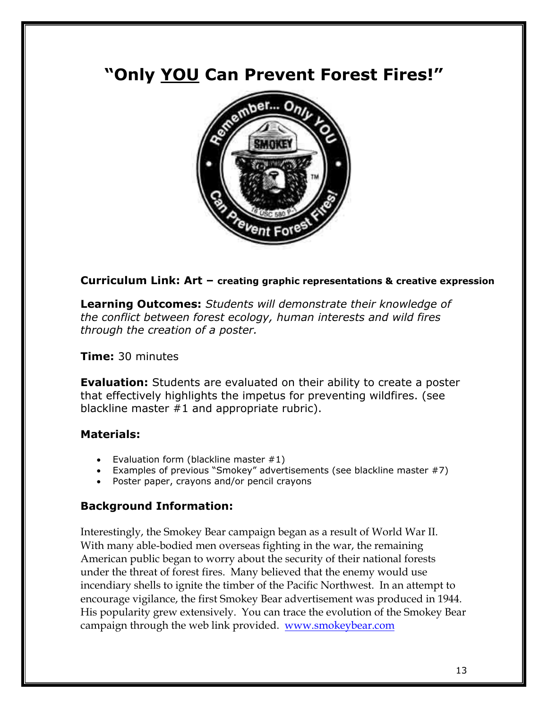# **"Only YOU Can Prevent Forest Fires!"**



## **Curriculum Link: Art – creating graphic representations & creative expression**

**Learning Outcomes:** *Students will demonstrate their knowledge of the conflict between forest ecology, human interests and wild fires through the creation of a poster.* 

**Time:** 30 minutes

**Evaluation:** Students are evaluated on their ability to create a poster that effectively highlights the impetus for preventing wildfires. (see blackline master #1 and appropriate rubric).

## **Materials:**

- Evaluation form (blackline master  $#1$ )
- Examples of previous "Smokey" advertisements (see blackline master #7)
- Poster paper, crayons and/or pencil crayons

## **Background Information:**

Interestingly, the Smokey Bear campaign began as a result of World War II. With many able-bodied men overseas fighting in the war, the remaining American public began to worry about the security of their national forests under the threat of forest fires. Many believed that the enemy would use incendiary shells to ignite the timber of the Pacific Northwest. In an attempt to encourage vigilance, the first Smokey Bear advertisement was produced in 1944. His popularity grew extensively. You can trace the evolution of the Smokey Bear campaign through the web link provided. www.smokeybear.com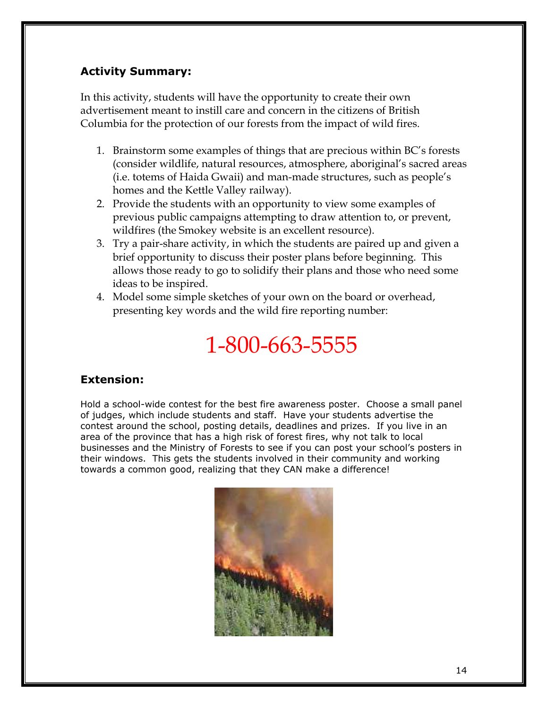## **Activity Summary:**

In this activity, students will have the opportunity to create their own advertisement meant to instill care and concern in the citizens of British Columbia for the protection of our forests from the impact of wild fires.

- 1. Brainstorm some examples of things that are precious within BC's forests (consider wildlife, natural resources, atmosphere, aboriginal's sacred areas (i.e. totems of Haida Gwaii) and man-made structures, such as people's homes and the Kettle Valley railway).
- 2. Provide the students with an opportunity to view some examples of previous public campaigns attempting to draw attention to, or prevent, wildfires (the Smokey website is an excellent resource).
- 3. Try a pair-share activity, in which the students are paired up and given a brief opportunity to discuss their poster plans before beginning. This allows those ready to go to solidify their plans and those who need some ideas to be inspired.
- 4. Model some simple sketches of your own on the board or overhead, presenting key words and the wild fire reporting number:

# 1-800-663-5555

## **Extension:**

Hold a school-wide contest for the best fire awareness poster. Choose a small panel of judges, which include students and staff. Have your students advertise the contest around the school, posting details, deadlines and prizes. If you live in an area of the province that has a high risk of forest fires, why not talk to local businesses and the Ministry of Forests to see if you can post your school's posters in their windows. This gets the students involved in their community and working towards a common good, realizing that they CAN make a difference!

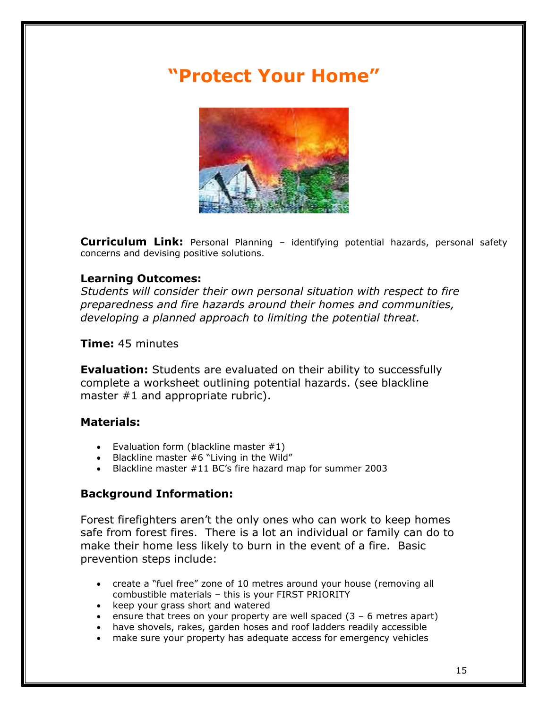# **"Protect Your Home"**



**Curriculum Link:** Personal Planning – identifying potential hazards, personal safety concerns and devising positive solutions.

## **Learning Outcomes:**

*Students will consider their own personal situation with respect to fire preparedness and fire hazards around their homes and communities, developing a planned approach to limiting the potential threat.* 

**Time:** 45 minutes

**Evaluation:** Students are evaluated on their ability to successfully complete a worksheet outlining potential hazards. (see blackline master #1 and appropriate rubric).

## **Materials:**

- Evaluation form (blackline master  $#1$ )
- Blackline master  $#6$  "Living in the Wild"
- Blackline master #11 BC's fire hazard map for summer 2003

## **Background Information:**

Forest firefighters aren't the only ones who can work to keep homes safe from forest fires. There is a lot an individual or family can do to make their home less likely to burn in the event of a fire. Basic prevention steps include:

- create a "fuel free" zone of 10 metres around your house (removing all combustible materials – this is your FIRST PRIORITY
- keep your grass short and watered
- ensure that trees on your property are well spaced  $(3 6$  metres apart)
- have shovels, rakes, garden hoses and roof ladders readily accessible
- make sure your property has adequate access for emergency vehicles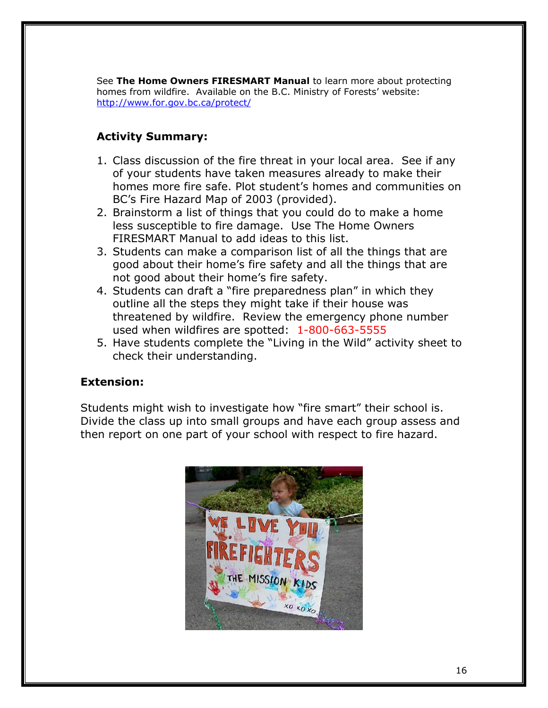See **The Home Owners FIRESMART Manual** to learn more about protecting homes from wildfire. Available on the B.C. Ministry of Forests' website: http://www.for.gov.bc.ca/protect/

## **Activity Summary:**

- 1. Class discussion of the fire threat in your local area. See if any of your students have taken measures already to make their homes more fire safe. Plot student's homes and communities on BC's Fire Hazard Map of 2003 (provided).
- 2. Brainstorm a list of things that you could do to make a home less susceptible to fire damage. Use The Home Owners FIRESMART Manual to add ideas to this list.
- 3. Students can make a comparison list of all the things that are good about their home's fire safety and all the things that are not good about their home's fire safety.
- 4. Students can draft a "fire preparedness plan" in which they outline all the steps they might take if their house was threatened by wildfire. Review the emergency phone number used when wildfires are spotted: 1-800-663-5555
- 5. Have students complete the "Living in the Wild" activity sheet to check their understanding.

## **Extension:**

Students might wish to investigate how "fire smart" their school is. Divide the class up into small groups and have each group assess and then report on one part of your school with respect to fire hazard.

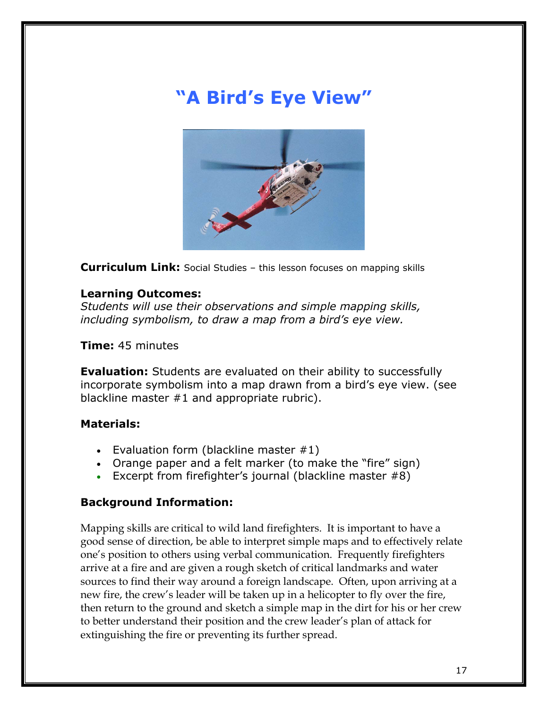# **"A Bird's Eye View"**



**Curriculum Link:** Social Studies – this lesson focuses on mapping skills

#### **Learning Outcomes:**

*Students will use their observations and simple mapping skills, including symbolism, to draw a map from a bird's eye view.* 

**Time:** 45 minutes

**Evaluation:** Students are evaluated on their ability to successfully incorporate symbolism into a map drawn from a bird's eye view. (see blackline master #1 and appropriate rubric).

#### **Materials:**

- Evaluation form (blackline master  $#1$ )
- Orange paper and a felt marker (to make the "fire" sign)
- Excerpt from firefighter's journal (blackline master #8)

#### **Background Information:**

Mapping skills are critical to wild land firefighters. It is important to have a good sense of direction, be able to interpret simple maps and to effectively relate one's position to others using verbal communication. Frequently firefighters arrive at a fire and are given a rough sketch of critical landmarks and water sources to find their way around a foreign landscape. Often, upon arriving at a new fire, the crew's leader will be taken up in a helicopter to fly over the fire, then return to the ground and sketch a simple map in the dirt for his or her crew to better understand their position and the crew leader's plan of attack for extinguishing the fire or preventing its further spread.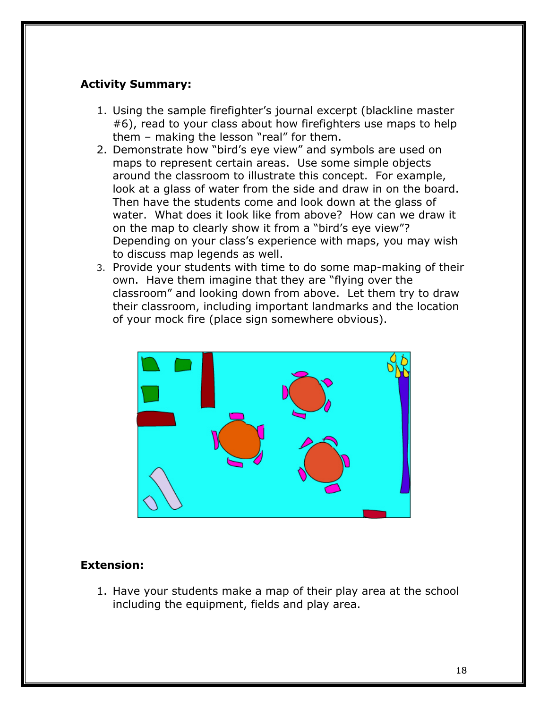## **Activity Summary:**

- 1. Using the sample firefighter's journal excerpt (blackline master #6), read to your class about how firefighters use maps to help them – making the lesson "real" for them.
- 2. Demonstrate how "bird's eye view" and symbols are used on maps to represent certain areas. Use some simple objects around the classroom to illustrate this concept. For example, look at a glass of water from the side and draw in on the board. Then have the students come and look down at the glass of water. What does it look like from above? How can we draw it on the map to clearly show it from a "bird's eye view"? Depending on your class's experience with maps, you may wish to discuss map legends as well.
- 3. Provide your students with time to do some map-making of their own. Have them imagine that they are "flying over the classroom" and looking down from above. Let them try to draw their classroom, including important landmarks and the location of your mock fire (place sign somewhere obvious).



## **Extension:**

1. Have your students make a map of their play area at the school including the equipment, fields and play area.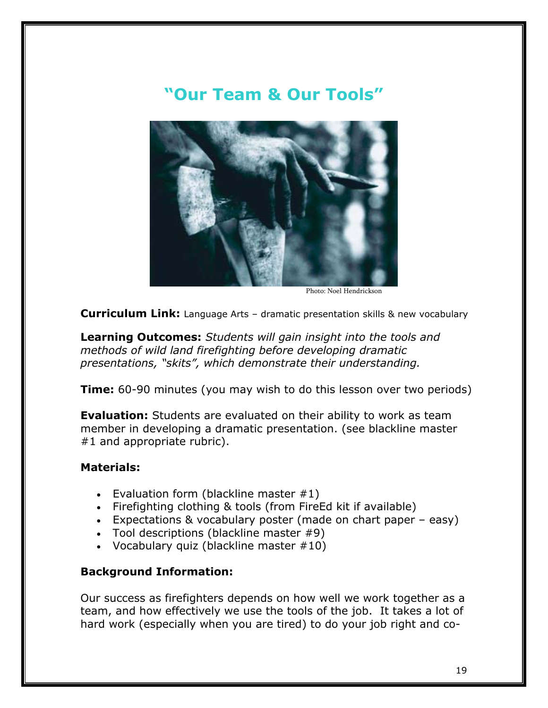# **"Our Team & Our Tools"**



Photo: Noel Hendrickson

**Curriculum Link:** Language Arts – dramatic presentation skills & new vocabulary

**Learning Outcomes:** *Students will gain insight into the tools and methods of wild land firefighting before developing dramatic presentations, "skits", which demonstrate their understanding.* 

**Time:** 60-90 minutes (you may wish to do this lesson over two periods)

**Evaluation:** Students are evaluated on their ability to work as team member in developing a dramatic presentation. (see blackline master #1 and appropriate rubric).

## **Materials:**

- Evaluation form (blackline master  $#1$ )
- Firefighting clothing & tools (from FireEd kit if available)
- Expectations & vocabulary poster (made on chart paper easy)
- Tool descriptions (blackline master #9)
- Vocabulary quiz (blackline master  $#10$ )

## **Background Information:**

Our success as firefighters depends on how well we work together as a team, and how effectively we use the tools of the job. It takes a lot of hard work (especially when you are tired) to do your job right and co-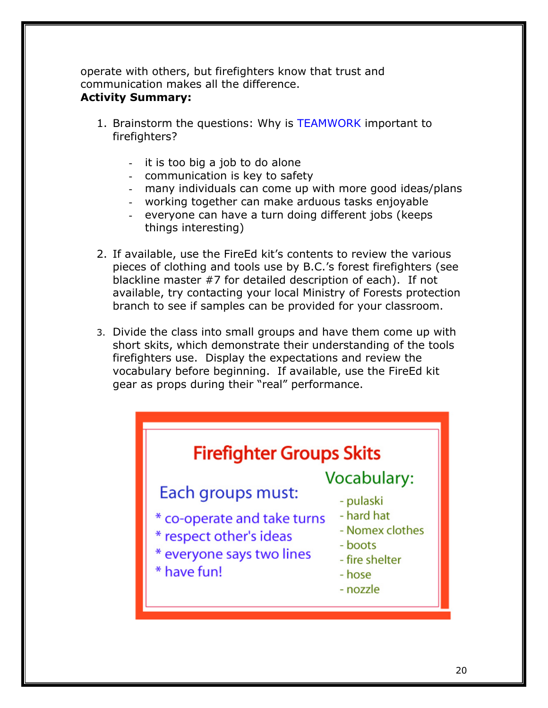operate with others, but firefighters know that trust and communication makes all the difference. **Activity Summary:** 

## 1. Brainstorm the questions: Why is TEAMWORK important to firefighters?

- it is too big a job to do alone
- communication is key to safety
- many individuals can come up with more good ideas/plans
- working together can make arduous tasks enjoyable
- everyone can have a turn doing different jobs (keeps things interesting)
- 2. If available, use the FireEd kit's contents to review the various pieces of clothing and tools use by B.C.'s forest firefighters (see blackline master #7 for detailed description of each). If not available, try contacting your local Ministry of Forests protection branch to see if samples can be provided for your classroom.
- 3. Divide the class into small groups and have them come up with short skits, which demonstrate their understanding of the tools firefighters use. Display the expectations and review the vocabulary before beginning. If available, use the FireEd kit gear as props during their "real" performance.

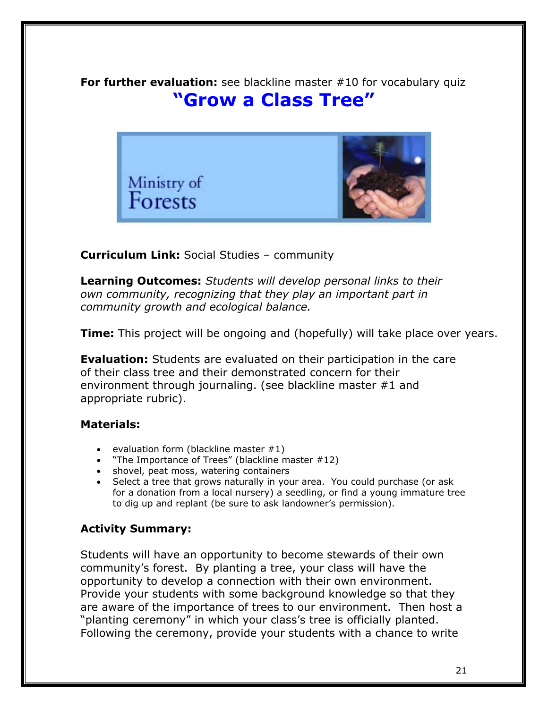**For further evaluation:** see blackline master #10 for vocabulary quiz **"Grow a Class Tree"** 



**Curriculum Link:** Social Studies – community

**Learning Outcomes:** *Students will develop personal links to their own community, recognizing that they play an important part in community growth and ecological balance.* 

**Time:** This project will be ongoing and (hopefully) will take place over years.

**Evaluation:** Students are evaluated on their participation in the care of their class tree and their demonstrated concern for their environment through journaling. (see blackline master #1 and appropriate rubric).

## **Materials:**

- evaluation form (blackline master  $#1$ )
- "The Importance of Trees" (blackline master #12)
- shovel, peat moss, watering containers
- Select a tree that grows naturally in your area. You could purchase (or ask for a donation from a local nursery) a seedling, or find a young immature tree to dig up and replant (be sure to ask landowner's permission).

## **Activity Summary:**

Students will have an opportunity to become stewards of their own community's forest. By planting a tree, your class will have the opportunity to develop a connection with their own environment. Provide your students with some background knowledge so that they are aware of the importance of trees to our environment. Then host a "planting ceremony" in which your class's tree is officially planted. Following the ceremony, provide your students with a chance to write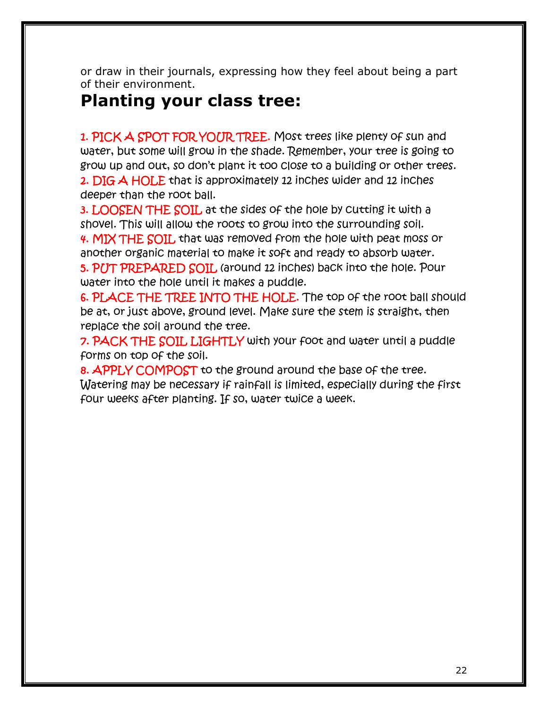or draw in their journals, expressing how they feel about being a part of their environment.

# **Planting your class tree:**

1. PICK A SPOT FOR YOUR TREE. Most trees like plenty of sun and water, but some will grow in the shade. Remember, your tree is going to grow up and out, so don't plant it too close to a building or other trees. 2. DIG A HOLE that is approximately 12 inches wider and 12 inches deeper than the root ball.

3. LOOSEN THE SOIL at the sides of the hole by cutting it with a shovel. This will allow the roots to grow into the surrounding soil. 4. MIX THE SOIL that was removed from the hole with peat moss or another organic material to make it soft and ready to absorb water. 5. PUT PREPARED SOIL (around 12 inches) back into the hole. Pour water into the hole until it makes a puddle.

6. PLACE THE TREE INTO THE HOLE. The top of the root ball should be at, or just above, ground level. Make sure the stem is straight, then replace the soil around the tree.

**7. PACK THE SOIL LIGHTLY** with your foot and water until a puddle forms on top of the soil.

8. APPLY COMPOST to the ground around the base of the tree. Watering may be necessary if rainfall is limited, especially during the first four weeks after planting. If so, water twice a week.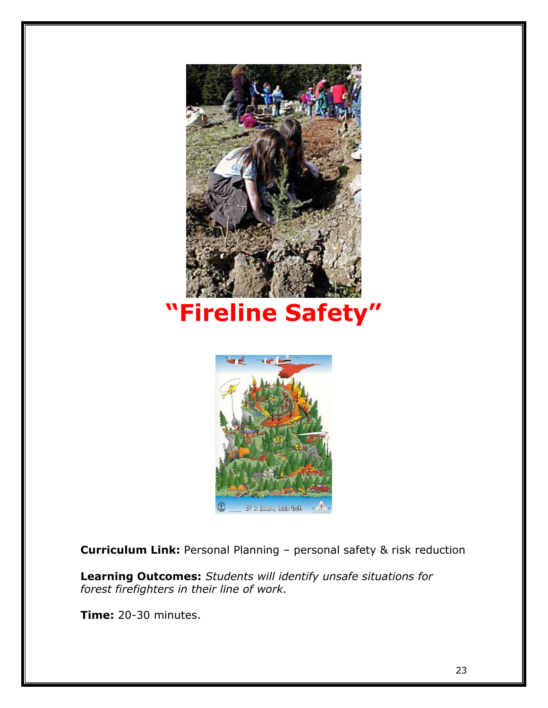



**Curriculum Link:** Personal Planning – personal safety & risk reduction

**Learning Outcomes:** *Students will identify unsafe situations for forest firefighters in their line of work.* 

**Time:** 20-30 minutes.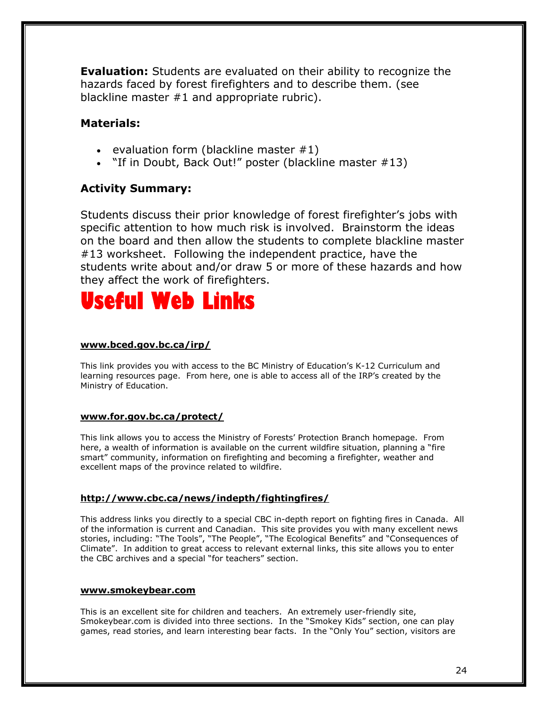**Evaluation:** Students are evaluated on their ability to recognize the hazards faced by forest firefighters and to describe them. (see blackline master #1 and appropriate rubric).

## **Materials:**

- evaluation form (blackline master  $#1$ )
- "If in Doubt, Back Out!" poster (blackline master #13)

## **Activity Summary:**

Students discuss their prior knowledge of forest firefighter's jobs with specific attention to how much risk is involved. Brainstorm the ideas on the board and then allow the students to complete blackline master #13 worksheet. Following the independent practice, have the students write about and/or draw 5 or more of these hazards and how they affect the work of firefighters.



#### **www.bced.gov.bc.ca/irp/**

This link provides you with access to the BC Ministry of Education's K-12 Curriculum and learning resources page. From here, one is able to access all of the IRP's created by the Ministry of Education.

#### **www.for.gov.bc.ca/protect/**

This link allows you to access the Ministry of Forests' Protection Branch homepage. From here, a wealth of information is available on the current wildfire situation, planning a "fire smart" community, information on firefighting and becoming a firefighter, weather and excellent maps of the province related to wildfire.

#### **http://www.cbc.ca/news/indepth/fightingfires/**

This address links you directly to a special CBC in-depth report on fighting fires in Canada. All of the information is current and Canadian. This site provides you with many excellent news stories, including: "The Tools", "The People", "The Ecological Benefits" and "Consequences of Climate". In addition to great access to relevant external links, this site allows you to enter the CBC archives and a special "for teachers" section.

#### **www.smokeybear.com**

This is an excellent site for children and teachers. An extremely user-friendly site, Smokeybear.com is divided into three sections. In the "Smokey Kids" section, one can play games, read stories, and learn interesting bear facts. In the "Only You" section, visitors are